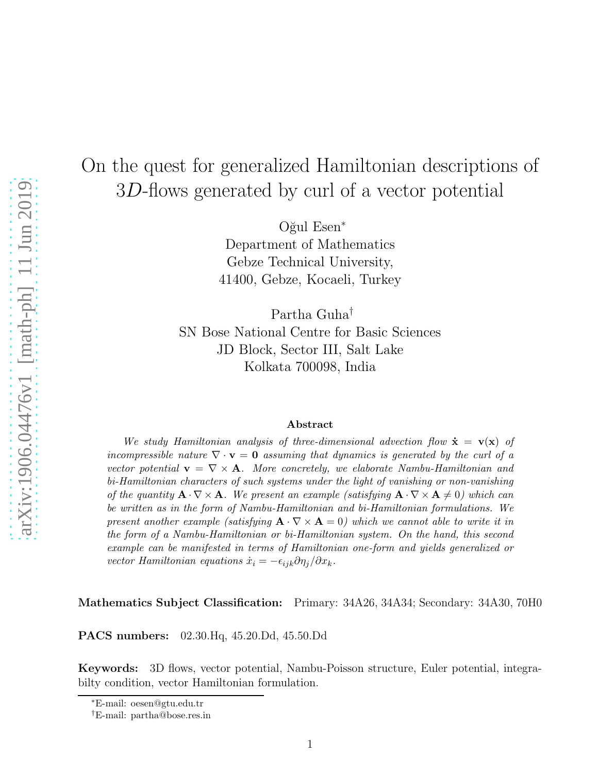# On the quest for generalized Hamiltonian descriptions of 3D-flows generated by curl of a vector potential

Oğul Esen<sup>∗</sup> Department of Mathematics Gebze Technical University, 41400, Gebze, Kocaeli, Turkey

Partha Guha† SN Bose National Centre for Basic Sciences JD Block, Sector III, Salt Lake Kolkata 700098, India

#### Abstract

We study Hamiltonian analysis of three-dimensional advection flow  $\dot{\mathbf{x}} = \mathbf{v}(\mathbf{x})$  of incompressible nature  $\nabla \cdot \mathbf{v} = \mathbf{0}$  assuming that dynamics is generated by the curl of a vector potential  $\mathbf{v} = \nabla \times \mathbf{A}$ . More concretely, we elaborate Nambu-Hamiltonian and bi-Hamiltonian characters of such systems under the light of vanishing or non-vanishing of the quantity  $\mathbf{A} \cdot \nabla \times \mathbf{A}$ . We present an example (satisfying  $\mathbf{A} \cdot \nabla \times \mathbf{A} \neq 0$ ) which can be written as in the form of Nambu-Hamiltonian and bi-Hamiltonian formulations. We present another example (satisfying  $\mathbf{A} \cdot \nabla \times \mathbf{A} = 0$ ) which we cannot able to write it in the form of a Nambu-Hamiltonian or bi-Hamiltonian system. On the hand, this second example can be manifested in terms of Hamiltonian one-form and yields generalized or vector Hamiltonian equations  $\dot{x}_i = -\epsilon_{ijk}\partial\eta_i/\partial x_k$ .

Mathematics Subject Classification: Primary: 34A26, 34A34; Secondary: 34A30, 70H0

PACS numbers: 02.30.Hq, 45.20.Dd, 45.50.Dd

Keywords: 3D flows, vector potential, Nambu-Poisson structure, Euler potential, integrabilty condition, vector Hamiltonian formulation.

<sup>∗</sup>E-mail: oesen@gtu.edu.tr

<sup>†</sup>E-mail: partha@bose.res.in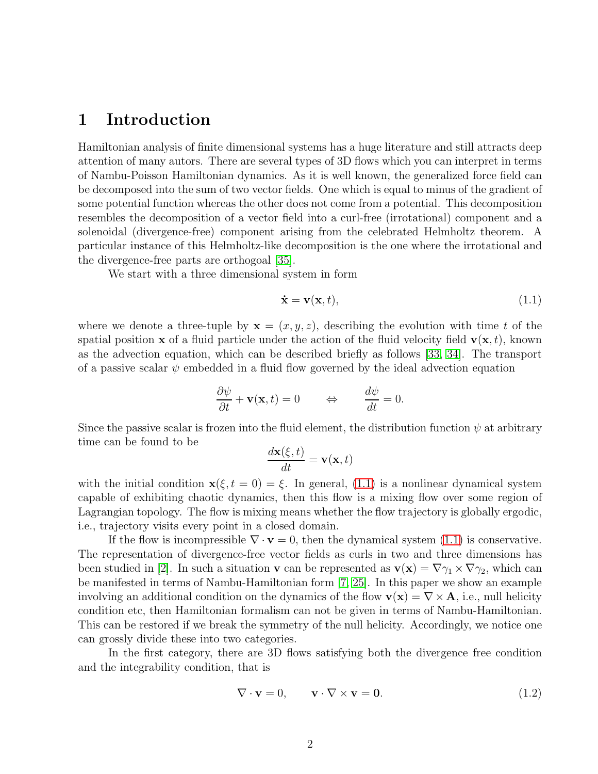## 1 Introduction

Hamiltonian analysis of finite dimensional systems has a huge literature and still attracts deep attention of many autors. There are several types of 3D flows which you can interpret in terms of Nambu-Poisson Hamiltonian dynamics. As it is well known, the generalized force field can be decomposed into the sum of two vector fields. One which is equal to minus of the gradient of some potential function whereas the other does not come from a potential. This decomposition resembles the decomposition of a vector field into a curl-free (irrotational) component and a solenoidal (divergence-free) component arising from the celebrated Helmholtz theorem. A particular instance of this Helmholtz-like decomposition is the one where the irrotational and the divergence-free parts are orthogoal [\[35\]](#page-16-0).

We start with a three dimensional system in form

<span id="page-1-0"></span>
$$
\dot{\mathbf{x}} = \mathbf{v}(\mathbf{x}, t),\tag{1.1}
$$

where we denote a three-tuple by  $\mathbf{x} = (x, y, z)$ , describing the evolution with time t of the spatial position x of a fluid particle under the action of the fluid velocity field  $\mathbf{v}(\mathbf{x}, t)$ , known as the advection equation, which can be described briefly as follows [\[33,](#page-16-1) [34\]](#page-16-2). The transport of a passive scalar  $\psi$  embedded in a fluid flow governed by the ideal advection equation

$$
\frac{\partial \psi}{\partial t} + \mathbf{v}(\mathbf{x}, t) = 0 \qquad \Leftrightarrow \qquad \frac{d\psi}{dt} = 0.
$$

Since the passive scalar is frozen into the fluid element, the distribution function  $\psi$  at arbitrary time can be found to be

$$
\frac{d\mathbf{x}(\xi,t)}{dt} = \mathbf{v}(\mathbf{x},t)
$$

with the initial condition  $\mathbf{x}(\xi, t = 0) = \xi$ . In general, [\(1.1\)](#page-1-0) is a nonlinear dynamical system capable of exhibiting chaotic dynamics, then this flow is a mixing flow over some region of Lagrangian topology. The flow is mixing means whether the flow trajectory is globally ergodic, i.e., trajectory visits every point in a closed domain.

If the flow is incompressible  $\nabla \cdot \mathbf{v} = 0$ , then the dynamical system [\(1.1\)](#page-1-0) is conservative. The representation of divergence-free vector fields as curls in two and three dimensions has been studied in [\[2\]](#page-14-0). In such a situation **v** can be represented as  $\mathbf{v}(\mathbf{x}) = \nabla \gamma_1 \times \nabla \gamma_2$ , which can be manifested in terms of Nambu-Hamiltonian form [\[7,](#page-14-1) [25\]](#page-15-0). In this paper we show an example involving an additional condition on the dynamics of the flow  $\mathbf{v}(\mathbf{x}) = \nabla \times \mathbf{A}$ , i.e., null helicity condition etc, then Hamiltonian formalism can not be given in terms of Nambu-Hamiltonian. This can be restored if we break the symmetry of the null helicity. Accordingly, we notice one can grossly divide these into two categories.

In the first category, there are 3D flows satisfying both the divergence free condition and the integrability condition, that is

$$
\nabla \cdot \mathbf{v} = 0, \qquad \mathbf{v} \cdot \nabla \times \mathbf{v} = \mathbf{0}.
$$
 (1.2)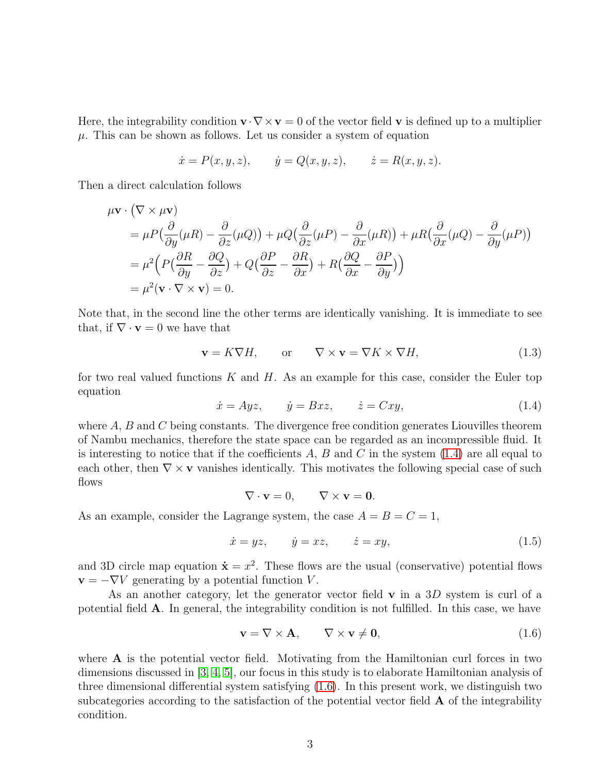Here, the integrability condition  $\mathbf{v} \cdot \nabla \times \mathbf{v} = 0$  of the vector field v is defined up to a multiplier  $\mu$ . This can be shown as follows. Let us consider a system of equation

$$
\dot{x} = P(x, y, z),
$$
  $\dot{y} = Q(x, y, z),$   $\dot{z} = R(x, y, z).$ 

Then a direct calculation follows

$$
\mu \mathbf{v} \cdot (\nabla \times \mu \mathbf{v})
$$
\n
$$
= \mu P \left( \frac{\partial}{\partial y} (\mu R) - \frac{\partial}{\partial z} (\mu Q) \right) + \mu Q \left( \frac{\partial}{\partial z} (\mu P) - \frac{\partial}{\partial x} (\mu R) \right) + \mu R \left( \frac{\partial}{\partial x} (\mu Q) - \frac{\partial}{\partial y} (\mu P) \right)
$$
\n
$$
= \mu^2 \left( P \left( \frac{\partial R}{\partial y} - \frac{\partial Q}{\partial z} \right) + Q \left( \frac{\partial P}{\partial z} - \frac{\partial R}{\partial x} \right) + R \left( \frac{\partial Q}{\partial x} - \frac{\partial P}{\partial y} \right) \right)
$$
\n
$$
= \mu^2 (\mathbf{v} \cdot \nabla \times \mathbf{v}) = 0.
$$

Note that, in the second line the other terms are identically vanishing. It is immediate to see that, if  $\nabla \cdot \mathbf{v} = 0$  we have that

$$
\mathbf{v} = K \nabla H, \qquad \text{or} \qquad \nabla \times \mathbf{v} = \nabla K \times \nabla H, \tag{1.3}
$$

for two real valued functions  $K$  and  $H$ . As an example for this case, consider the Euler top equation

<span id="page-2-0"></span>
$$
\dot{x} = Ayz, \qquad \dot{y} = Bxz, \qquad \dot{z} = Cxy, \tag{1.4}
$$

where  $A, B$  and  $C$  being constants. The divergence free condition generates Liouvilles theorem of Nambu mechanics, therefore the state space can be regarded as an incompressible fluid. It is interesting to notice that if the coefficients  $A, B$  and  $C$  in the system  $(1.4)$  are all equal to each other, then  $\nabla \times \mathbf{v}$  vanishes identically. This motivates the following special case of such flows

$$
\nabla \cdot \mathbf{v} = 0, \qquad \nabla \times \mathbf{v} = \mathbf{0}.
$$

As an example, consider the Lagrange system, the case  $A = B = C = 1$ ,

$$
\dot{x} = yz, \qquad \dot{y} = xz, \qquad \dot{z} = xy,\tag{1.5}
$$

and 3D circle map equation  $\dot{\mathbf{x}} = x^2$ . These flows are the usual (conservative) potential flows  $\mathbf{v} = -\nabla V$  generating by a potential function V.

As an another category, let the generator vector field  $\bf{v}$  in a 3D system is curl of a potential field A. In general, the integrability condition is not fulfilled. In this case, we have

<span id="page-2-1"></span>
$$
\mathbf{v} = \nabla \times \mathbf{A}, \qquad \nabla \times \mathbf{v} \neq \mathbf{0}, \tag{(1.6)}
$$

where  $A$  is the potential vector field. Motivating from the Hamiltonian curl forces in two dimensions discussed in [\[3,](#page-14-2) [4,](#page-14-3) [5\]](#page-14-4), our focus in this study is to elaborate Hamiltonian analysis of three dimensional differential system satisfying [\(1.6\)](#page-2-1). In this present work, we distinguish two subcategories according to the satisfaction of the potential vector field  $\bf{A}$  of the integrability condition.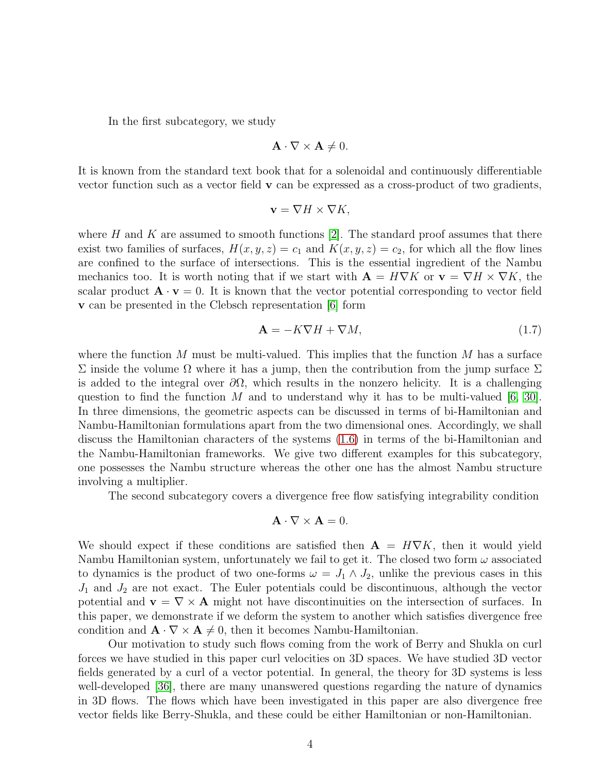In the first subcategory, we study

$$
\mathbf{A} \cdot \nabla \times \mathbf{A} \neq 0.
$$

It is known from the standard text book that for a solenoidal and continuously differentiable vector function such as a vector field v can be expressed as a cross-product of two gradients,

$$
\mathbf{v} = \nabla H \times \nabla K,
$$

where H and K are assumed to smooth functions  $|2|$ . The standard proof assumes that there exist two families of surfaces,  $H(x, y, z) = c_1$  and  $K(x, y, z) = c_2$ , for which all the flow lines are confined to the surface of intersections. This is the essential ingredient of the Nambu mechanics too. It is worth noting that if we start with  $\mathbf{A} = H \nabla K$  or  $\mathbf{v} = \nabla H \times \nabla K$ , the scalar product  $\mathbf{A} \cdot \mathbf{v} = 0$ . It is known that the vector potential corresponding to vector field v can be presented in the Clebsch representation [\[6\]](#page-14-5) form

$$
\mathbf{A} = -K\nabla H + \nabla M,\tag{1.7}
$$

where the function M must be multi-valued. This implies that the function M has a surface Σ inside the volume Ω where it has a jump, then the contribution from the jump surface Σ is added to the integral over  $\partial\Omega$ , which results in the nonzero helicity. It is a challenging question to find the function M and to understand why it has to be multi-valued  $[6, 30]$  $[6, 30]$ . In three dimensions, the geometric aspects can be discussed in terms of bi-Hamiltonian and Nambu-Hamiltonian formulations apart from the two dimensional ones. Accordingly, we shall discuss the Hamiltonian characters of the systems [\(1.6\)](#page-2-1) in terms of the bi-Hamiltonian and the Nambu-Hamiltonian frameworks. We give two different examples for this subcategory, one possesses the Nambu structure whereas the other one has the almost Nambu structure involving a multiplier.

The second subcategory covers a divergence free flow satisfying integrability condition

$$
\mathbf{A} \cdot \nabla \times \mathbf{A} = 0.
$$

We should expect if these conditions are satisfied then  $\mathbf{A} = H \nabla K$ , then it would yield Nambu Hamiltonian system, unfortunately we fail to get it. The closed two form  $\omega$  associated to dynamics is the product of two one-forms  $\omega = J_1 \wedge J_2$ , unlike the previous cases in this  $J_1$  and  $J_2$  are not exact. The Euler potentials could be discontinuous, although the vector potential and  $\mathbf{v} = \nabla \times \mathbf{A}$  might not have discontinuities on the intersection of surfaces. In this paper, we demonstrate if we deform the system to another which satisfies divergence free condition and  $\mathbf{A} \cdot \nabla \times \mathbf{A} \neq 0$ , then it becomes Nambu-Hamiltonian.

Our motivation to study such flows coming from the work of Berry and Shukla on curl forces we have studied in this paper curl velocities on 3D spaces. We have studied 3D vector fields generated by a curl of a vector potential. In general, the theory for 3D systems is less well-developed [\[36\]](#page-16-3), there are many unanswered questions regarding the nature of dynamics in 3D flows. The flows which have been investigated in this paper are also divergence free vector fields like Berry-Shukla, and these could be either Hamiltonian or non-Hamiltonian.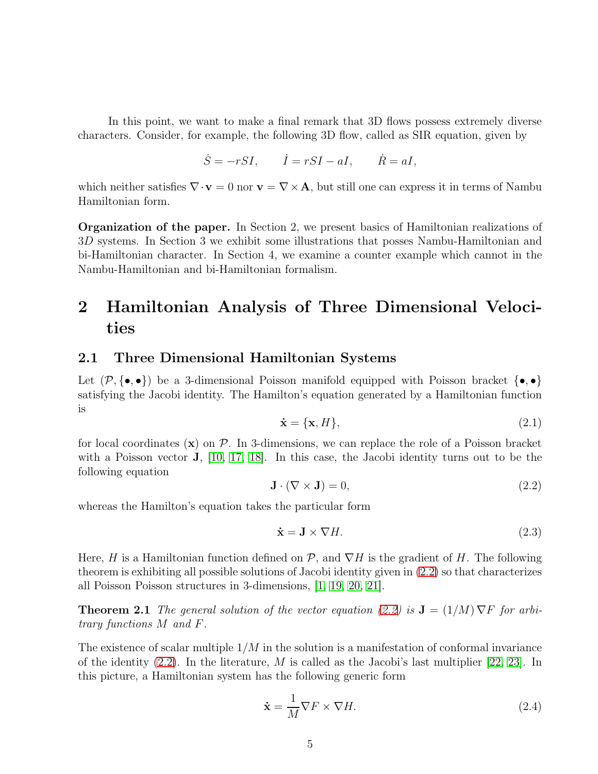In this point, we want to make a final remark that 3D flows possess extremely diverse characters. Consider, for example, the following 3D flow, called as SIR equation, given by

$$
\dot{S} = -rSI, \qquad \dot{I} = rSI - aI, \qquad \dot{R} = aI,
$$

which neither satisfies  $\nabla \cdot \mathbf{v} = 0$  nor  $\mathbf{v} = \nabla \times \mathbf{A}$ , but still one can express it in terms of Nambu Hamiltonian form.

Organization of the paper. In Section 2, we present basics of Hamiltonian realizations of 3D systems. In Section 3 we exhibit some illustrations that posses Nambu-Hamiltonian and bi-Hamiltonian character. In Section 4, we examine a counter example which cannot in the Nambu-Hamiltonian and bi-Hamiltonian formalism.

## 2 Hamiltonian Analysis of Three Dimensional Velocities

### 2.1 Three Dimensional Hamiltonian Systems

Let  $(\mathcal{P}, {\{\bullet,\bullet\}})$  be a 3-dimensional Poisson manifold equipped with Poisson bracket  ${\{\bullet,\bullet\}}$ satisfying the Jacobi identity. The Hamilton's equation generated by a Hamiltonian function is

$$
\dot{\mathbf{x}} = \{\mathbf{x}, H\},\tag{2.1}
$$

for local coordinates  $(x)$  on  $\mathcal{P}$ . In 3-dimensions, we can replace the role of a Poisson bracket with a Poisson vector J, [\[10,](#page-14-6) [17,](#page-15-2) [18\]](#page-15-3). In this case, the Jacobi identity turns out to be the following equation

<span id="page-4-0"></span>
$$
\mathbf{J} \cdot (\nabla \times \mathbf{J}) = 0,\tag{2.2}
$$

whereas the Hamilton's equation takes the particular form

$$
\dot{\mathbf{x}} = \mathbf{J} \times \nabla H. \tag{2.3}
$$

Here, H is a Hamiltonian function defined on  $\mathcal{P}$ , and  $\nabla H$  is the gradient of H. The following theorem is exhibiting all possible solutions of Jacobi identity given in [\(2.2\)](#page-4-0) so that characterizes all Poisson Poisson structures in 3-dimensions, [\[1,](#page-13-0) [19,](#page-15-4) [20,](#page-15-5) [21\]](#page-15-6).

**Theorem 2.1** The general solution of the vector equation [\(2.2\)](#page-4-0) is  $J = (1/M) \nabla F$  for arbitrary functions M and F.

The existence of scalar multiple  $1/M$  in the solution is a manifestation of conformal invariance of the identity  $(2.2)$ . In the literature, M is called as the Jacobi's last multiplier [\[22,](#page-15-7) [23\]](#page-15-8). In this picture, a Hamiltonian system has the following generic form

<span id="page-4-1"></span>
$$
\dot{\mathbf{x}} = \frac{1}{M} \nabla F \times \nabla H. \tag{2.4}
$$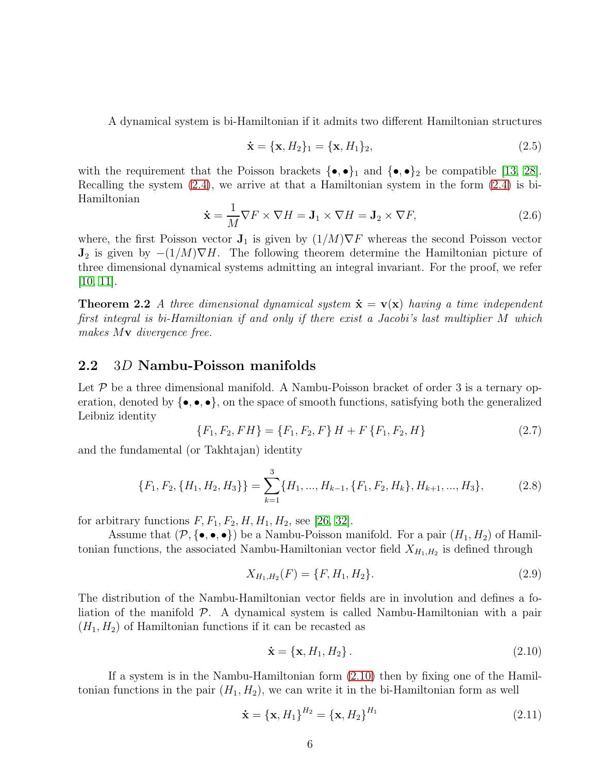A dynamical system is bi-Hamiltonian if it admits two different Hamiltonian structures

$$
\dot{\mathbf{x}} = {\mathbf{x}, H_2}_{1} = {\mathbf{x}, H_1}_{2},
$$
\n(2.5)

with the requirement that the Poisson brackets  $\{\bullet, \bullet\}_1$  and  $\{\bullet, \bullet\}_2$  be compatible [\[13,](#page-14-7) [28\]](#page-15-9). Recalling the system  $(2.4)$ , we arrive at that a Hamiltonian system in the form  $(2.4)$  is bi-Hamiltonian

$$
\dot{\mathbf{x}} = \frac{1}{M} \nabla F \times \nabla H = \mathbf{J}_1 \times \nabla H = \mathbf{J}_2 \times \nabla F,
$$
\n(2.6)

where, the first Poisson vector  $J_1$  is given by  $(1/M)\nabla F$  whereas the second Poisson vector  $J_2$  is given by  $-(1/M)\nabla H$ . The following theorem determine the Hamiltonian picture of three dimensional dynamical systems admitting an integral invariant. For the proof, we refer  $[10, 11]$  $[10, 11]$ .

**Theorem 2.2** A three dimensional dynamical system  $\dot{\mathbf{x}} = \mathbf{v}(\mathbf{x})$  having a time independent first integral is bi-Hamiltonian if and only if there exist a Jacobi's last multiplier M which makes Mv divergence free.

#### 2.2 3D Nambu-Poisson manifolds

Let  $\mathcal P$  be a three dimensional manifold. A Nambu-Poisson bracket of order 3 is a ternary operation, denoted by  $\{\bullet, \bullet, \bullet\}$ , on the space of smooth functions, satisfying both the generalized Leibniz identity

$$
\{F_1, F_2, FH\} = \{F_1, F_2, F\} H + F\{F_1, F_2, H\}
$$
\n(2.7)

and the fundamental (or Takhtajan) identity

$$
\{F_1, F_2, \{H_1, H_2, H_3\}\} = \sum_{k=1}^3 \{H_1, ..., H_{k-1}, \{F_1, F_2, H_k\}, H_{k+1}, ..., H_3\},\tag{2.8}
$$

for arbitrary functions  $F, F_1, F_2, H, H_1, H_2$ , see [\[26,](#page-15-10) [32\]](#page-16-4).

Assume that  $(\mathcal{P}, \{\bullet, \bullet, \bullet\})$  be a Nambu-Poisson manifold. For a pair  $(H_1, H_2)$  of Hamiltonian functions, the associated Nambu-Hamiltonian vector field  $X_{H_1,H_2}$  is defined through

<span id="page-5-1"></span>
$$
X_{H_1,H_2}(F) = \{F, H_1, H_2\}.
$$
\n(2.9)

The distribution of the Nambu-Hamiltonian vector fields are in involution and defines a foliation of the manifold  $P$ . A dynamical system is called Nambu-Hamiltonian with a pair  $(H_1, H_2)$  of Hamiltonian functions if it can be recasted as

<span id="page-5-0"></span>
$$
\dot{\mathbf{x}} = \{\mathbf{x}, H_1, H_2\}. \tag{2.10}
$$

If a system is in the Nambu-Hamiltonian form [\(2.10\)](#page-5-0) then by fixing one of the Hamiltonian functions in the pair  $(H_1, H_2)$ , we can write it in the bi-Hamiltonian form as well

<span id="page-5-2"></span>
$$
\dot{\mathbf{x}} = {\{\mathbf{x}, H_1\}}^{H_2} = {\{\mathbf{x}, H_2\}}^{H_1}
$$
\n(2.11)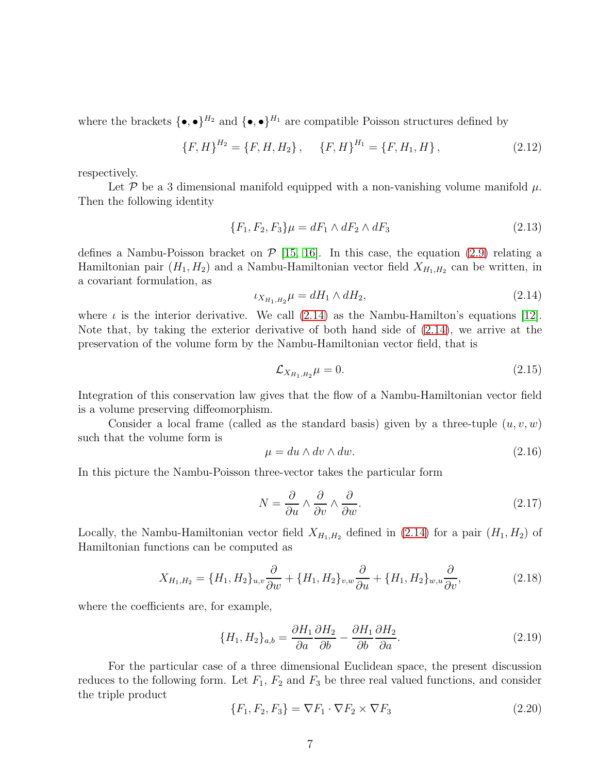where the brackets  $\{\bullet,\bullet\}^{H_2}$  and  $\{\bullet,\bullet\}^{H_1}$  are compatible Poisson structures defined by

$$
\{F, H\}^{H_2} = \{F, H, H_2\}, \quad \{F, H\}^{H_1} = \{F, H_1, H\}, \tag{2.12}
$$

respectively.

Let P be a 3 dimensional manifold equipped with a non-vanishing volume manifold  $\mu$ . Then the following identity

$$
\{F_1, F_2, F_3\}\mu = dF_1 \wedge dF_2 \wedge dF_3 \tag{2.13}
$$

defines a Nambu-Poisson bracket on  $\mathcal{P}$  [\[15,](#page-14-9) [16\]](#page-14-10). In this case, the equation [\(2.9\)](#page-5-1) relating a Hamiltonian pair  $(H_1, H_2)$  and a Nambu-Hamiltonian vector field  $X_{H_1,H_2}$  can be written, in a covariant formulation, as

<span id="page-6-0"></span>
$$
\iota_{X_{H_1, H_2}} \mu = dH_1 \wedge dH_2,\tag{2.14}
$$

where  $\iota$  is the interior derivative. We call [\(2.14\)](#page-6-0) as the Nambu-Hamilton's equations [\[12\]](#page-14-11). Note that, by taking the exterior derivative of both hand side of [\(2.14\)](#page-6-0), we arrive at the preservation of the volume form by the Nambu-Hamiltonian vector field, that is

$$
\mathcal{L}_{X_{H_1, H_2}} \mu = 0. \tag{2.15}
$$

Integration of this conservation law gives that the flow of a Nambu-Hamiltonian vector field is a volume preserving diffeomorphism.

Consider a local frame (called as the standard basis) given by a three-tuple  $(u, v, w)$ such that the volume form is

$$
\mu = du \wedge dv \wedge dw. \tag{2.16}
$$

In this picture the Nambu-Poisson three-vector takes the particular form

<span id="page-6-2"></span>
$$
N = \frac{\partial}{\partial u} \wedge \frac{\partial}{\partial v} \wedge \frac{\partial}{\partial w}.\tag{2.17}
$$

Locally, the Nambu-Hamiltonian vector field  $X_{H_1,H_2}$  defined in [\(2.14\)](#page-6-0) for a pair  $(H_1, H_2)$  of Hamiltonian functions can be computed as

<span id="page-6-3"></span>
$$
X_{H_1,H_2} = \{H_1, H_2\}_{u,v} \frac{\partial}{\partial w} + \{H_1, H_2\}_{v,w} \frac{\partial}{\partial u} + \{H_1, H_2\}_{w,u} \frac{\partial}{\partial v},\tag{2.18}
$$

where the coefficients are, for example,

$$
\{H_1, H_2\}_{a,b} = \frac{\partial H_1}{\partial a} \frac{\partial H_2}{\partial b} - \frac{\partial H_1}{\partial b} \frac{\partial H_2}{\partial a}.
$$
\n(2.19)

For the particular case of a three dimensional Euclidean space, the present discussion reduces to the following form. Let  $F_1$ ,  $F_2$  and  $F_3$  be three real valued functions, and consider the triple product

<span id="page-6-1"></span>
$$
\{F_1, F_2, F_3\} = \nabla F_1 \cdot \nabla F_2 \times \nabla F_3 \tag{2.20}
$$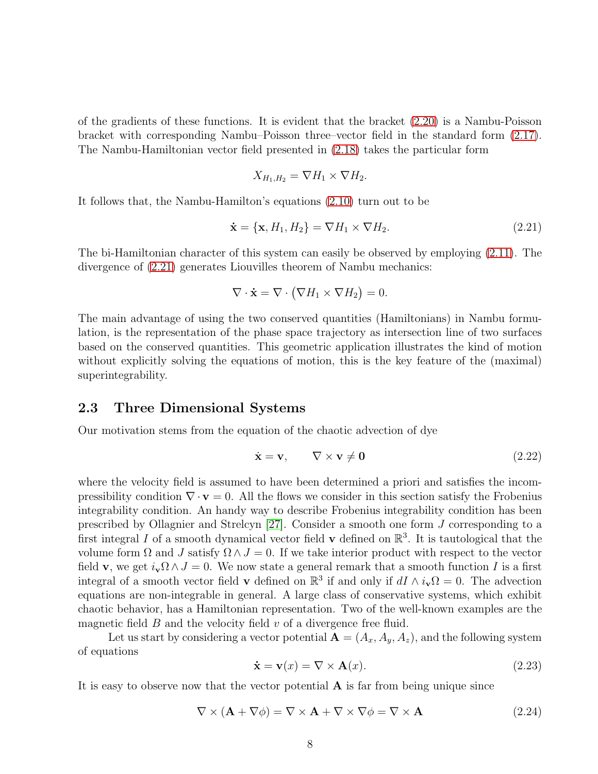of the gradients of these functions. It is evident that the bracket [\(2.20\)](#page-6-1) is a Nambu-Poisson bracket with corresponding Nambu–Poisson three–vector field in the standard form [\(2.17\)](#page-6-2). The Nambu-Hamiltonian vector field presented in [\(2.18\)](#page-6-3) takes the particular form

$$
X_{H_1,H_2} = \nabla H_1 \times \nabla H_2.
$$

It follows that, the Nambu-Hamilton's equations [\(2.10\)](#page-5-0) turn out to be

<span id="page-7-0"></span>
$$
\dot{\mathbf{x}} = \{\mathbf{x}, H_1, H_2\} = \nabla H_1 \times \nabla H_2. \tag{2.21}
$$

The bi-Hamiltonian character of this system can easily be observed by employing [\(2.11\)](#page-5-2). The divergence of [\(2.21\)](#page-7-0) generates Liouvilles theorem of Nambu mechanics:

$$
\nabla \cdot \dot{\mathbf{x}} = \nabla \cdot (\nabla H_1 \times \nabla H_2) = 0.
$$

The main advantage of using the two conserved quantities (Hamiltonians) in Nambu formulation, is the representation of the phase space trajectory as intersection line of two surfaces based on the conserved quantities. This geometric application illustrates the kind of motion without explicitly solving the equations of motion, this is the key feature of the (maximal) superintegrability.

#### 2.3 Three Dimensional Systems

Our motivation stems from the equation of the chaotic advection of dye

<span id="page-7-2"></span>
$$
\dot{\mathbf{x}} = \mathbf{v}, \qquad \nabla \times \mathbf{v} \neq \mathbf{0} \tag{2.22}
$$

where the velocity field is assumed to have been determined a priori and satisfies the incompressibility condition  $\nabla \cdot \mathbf{v} = 0$ . All the flows we consider in this section satisfy the Frobenius integrability condition. An handy way to describe Frobenius integrability condition has been prescribed by Ollagnier and Strelcyn [\[27\]](#page-15-11). Consider a smooth one form J corresponding to a first integral I of a smooth dynamical vector field **v** defined on  $\mathbb{R}^3$ . It is tautological that the volume form  $\Omega$  and J satisfy  $\Omega \wedge J = 0$ . If we take interior product with respect to the vector field **v**, we get  $i_{\mathbf{v}}\Omega \wedge J = 0$ . We now state a general remark that a smooth function I is a first integral of a smooth vector field **v** defined on  $\mathbb{R}^3$  if and only if  $dI \wedge i_{\mathbf{v}}\Omega = 0$ . The advection equations are non-integrable in general. A large class of conservative systems, which exhibit chaotic behavior, has a Hamiltonian representation. Two of the well-known examples are the magnetic field  $B$  and the velocity field  $v$  of a divergence free fluid.

Let us start by considering a vector potential  $\mathbf{A} = (A_x, A_y, A_z)$ , and the following system of equations

<span id="page-7-1"></span>
$$
\dot{\mathbf{x}} = \mathbf{v}(x) = \nabla \times \mathbf{A}(x). \tag{2.23}
$$

It is easy to observe now that the vector potential  $A$  is far from being unique since

$$
\nabla \times (\mathbf{A} + \nabla \phi) = \nabla \times \mathbf{A} + \nabla \times \nabla \phi = \nabla \times \mathbf{A}
$$
 (2.24)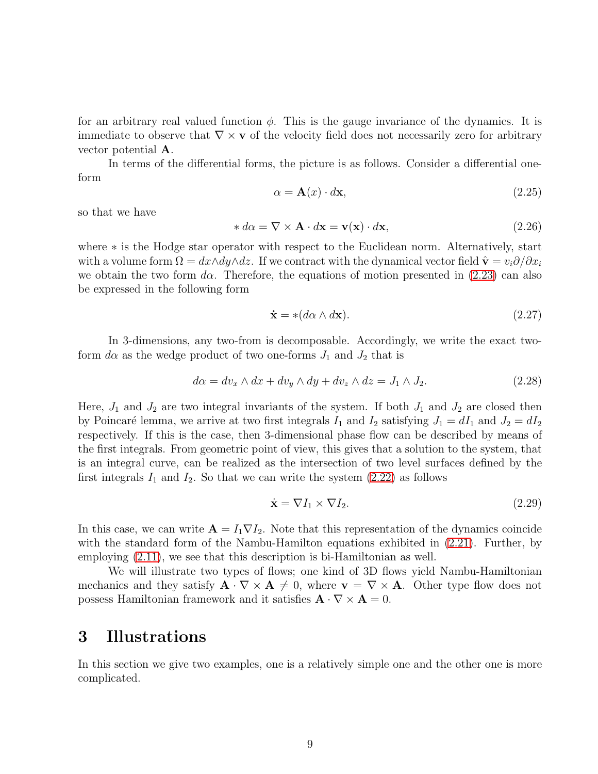for an arbitrary real valued function  $\phi$ . This is the gauge invariance of the dynamics. It is immediate to observe that  $\nabla \times \mathbf{v}$  of the velocity field does not necessarily zero for arbitrary vector potential A.

In terms of the differential forms, the picture is as follows. Consider a differential oneform

$$
\alpha = \mathbf{A}(x) \cdot d\mathbf{x},\tag{2.25}
$$

so that we have

$$
* d\alpha = \nabla \times \mathbf{A} \cdot d\mathbf{x} = \mathbf{v}(\mathbf{x}) \cdot d\mathbf{x},\tag{2.26}
$$

where ∗ is the Hodge star operator with respect to the Euclidean norm. Alternatively, start with a volume form  $\Omega = dx \wedge dy \wedge dz$ . If we contract with the dynamical vector field  $\hat{\mathbf{v}} = v_i \partial/\partial x_i$ we obtain the two form  $d\alpha$ . Therefore, the equations of motion presented in [\(2.23\)](#page-7-1) can also be expressed in the following form

$$
\dot{\mathbf{x}} = * (d\alpha \wedge d\mathbf{x}).\tag{2.27}
$$

In 3-dimensions, any two-from is decomposable. Accordingly, we write the exact twoform  $d\alpha$  as the wedge product of two one-forms  $J_1$  and  $J_2$  that is

<span id="page-8-0"></span>
$$
d\alpha = dv_x \wedge dx + dv_y \wedge dy + dv_z \wedge dz = J_1 \wedge J_2. \tag{2.28}
$$

Here,  $J_1$  and  $J_2$  are two integral invariants of the system. If both  $J_1$  and  $J_2$  are closed then by Poincaré lemma, we arrive at two first integrals  $I_1$  and  $I_2$  satisfying  $J_1 = dI_1$  and  $J_2 = dI_2$ respectively. If this is the case, then 3-dimensional phase flow can be described by means of the first integrals. From geometric point of view, this gives that a solution to the system, that is an integral curve, can be realized as the intersection of two level surfaces defined by the first integrals  $I_1$  and  $I_2$ . So that we can write the system  $(2.22)$  as follows

$$
\dot{\mathbf{x}} = \nabla I_1 \times \nabla I_2. \tag{2.29}
$$

In this case, we can write  $\mathbf{A} = I_1 \nabla I_2$ . Note that this representation of the dynamics coincide with the standard form of the Nambu-Hamilton equations exhibited in  $(2.21)$ . Further, by employing [\(2.11\)](#page-5-2), we see that this description is bi-Hamiltonian as well.

We will illustrate two types of flows; one kind of 3D flows yield Nambu-Hamiltonian mechanics and they satisfy  $\mathbf{A} \cdot \nabla \times \mathbf{A} \neq 0$ , where  $\mathbf{v} = \nabla \times \mathbf{A}$ . Other type flow does not possess Hamiltonian framework and it satisfies  $\mathbf{A} \cdot \nabla \times \mathbf{A} = 0$ .

### 3 Illustrations

In this section we give two examples, one is a relatively simple one and the other one is more complicated.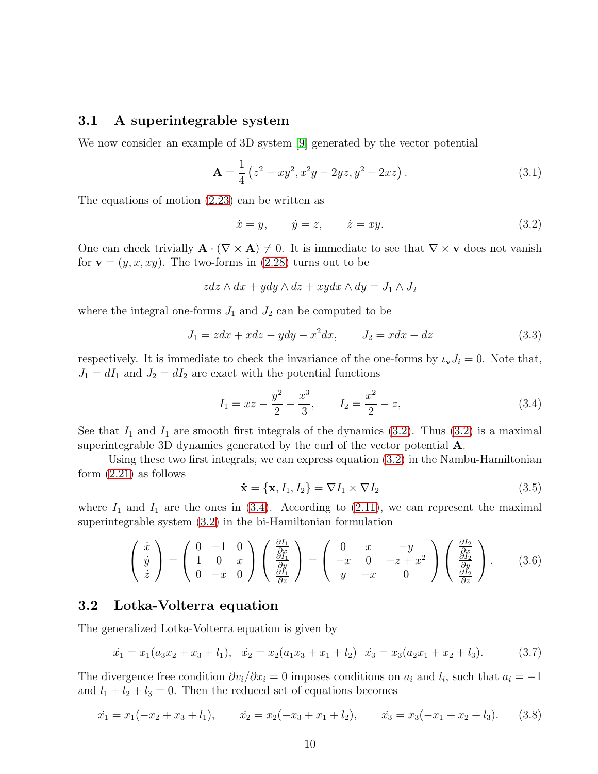#### 3.1 A superintegrable system

We now consider an example of 3D system [\[9\]](#page-14-12) generated by the vector potential

$$
\mathbf{A} = \frac{1}{4} \left( z^2 - xy^2, x^2y - 2yz, y^2 - 2xz \right). \tag{3.1}
$$

The equations of motion [\(2.23\)](#page-7-1) can be written as

<span id="page-9-0"></span>
$$
\dot{x} = y, \qquad \dot{y} = z, \qquad \dot{z} = xy. \tag{3.2}
$$

One can check trivially  $\mathbf{A} \cdot (\nabla \times \mathbf{A}) \neq 0$ . It is immediate to see that  $\nabla \times \mathbf{v}$  does not vanish for  $\mathbf{v} = (y, x, xy)$ . The two-forms in [\(2.28\)](#page-8-0) turns out to be

$$
zdz \wedge dx + ydy \wedge dz + xydx \wedge dy = J_1 \wedge J_2
$$

where the integral one-forms  $J_1$  and  $J_2$  can be computed to be

$$
J_1 = zdx + xdz - ydy - x^2dx, \qquad J_2 = xdx - dz \tag{3.3}
$$

respectively. It is immediate to check the invariance of the one-forms by  $\iota_{\mathbf{v}}J_i = 0$ . Note that,  $J_1 = dI_1$  and  $J_2 = dI_2$  are exact with the potential functions

<span id="page-9-1"></span>
$$
I_1 = xz - \frac{y^2}{2} - \frac{x^3}{3}, \qquad I_2 = \frac{x^2}{2} - z,\tag{3.4}
$$

See that  $I_1$  and  $I_1$  are smooth first integrals of the dynamics [\(3.2\)](#page-9-0). Thus (3.2) is a maximal superintegrable 3D dynamics generated by the curl of the vector potential A.

Using these two first integrals, we can express equation [\(3.2\)](#page-9-0) in the Nambu-Hamiltonian form [\(2.21\)](#page-7-0) as follows

$$
\dot{\mathbf{x}} = \{\mathbf{x}, I_1, I_2\} = \nabla I_1 \times \nabla I_2 \tag{3.5}
$$

where  $I_1$  and  $I_1$  are the ones in [\(3.4\)](#page-9-1). According to [\(2.11\)](#page-5-2), we can represent the maximal superintegrable system [\(3.2\)](#page-9-0) in the bi-Hamiltonian formulation

$$
\begin{pmatrix}\n\dot{x} \\
\dot{y} \\
\dot{z}\n\end{pmatrix} = \begin{pmatrix}\n0 & -1 & 0 \\
1 & 0 & x \\
0 & -x & 0\n\end{pmatrix} \begin{pmatrix}\n\frac{\partial I_1}{\partial x} \\
\frac{\partial I_1}{\partial y} \\
\frac{\partial I_1}{\partial z}\n\end{pmatrix} = \begin{pmatrix}\n0 & x & -y \\
-x & 0 & -z + x^2 \\
y & -x & 0\n\end{pmatrix} \begin{pmatrix}\n\frac{\partial I_2}{\partial x} \\
\frac{\partial I_2}{\partial z}\n\end{pmatrix}.
$$
\n(3.6)

#### 3.2 Lotka-Volterra equation

The generalized Lotka-Volterra equation is given by

$$
\dot{x}_1 = x_1(a_3x_2 + x_3 + l_1), \quad \dot{x}_2 = x_2(a_1x_3 + x_1 + l_2) \quad \dot{x}_3 = x_3(a_2x_1 + x_2 + l_3). \tag{3.7}
$$

The divergence free condition  $\partial v_i/\partial x_i = 0$  imposes conditions on  $a_i$  and  $l_i$ , such that  $a_i = -1$ and  $l_1 + l_2 + l_3 = 0$ . Then the reduced set of equations becomes

$$
\dot{x}_1 = x_1(-x_2 + x_3 + l_1), \qquad \dot{x}_2 = x_2(-x_3 + x_1 + l_2), \qquad \dot{x}_3 = x_3(-x_1 + x_2 + l_3). \tag{3.8}
$$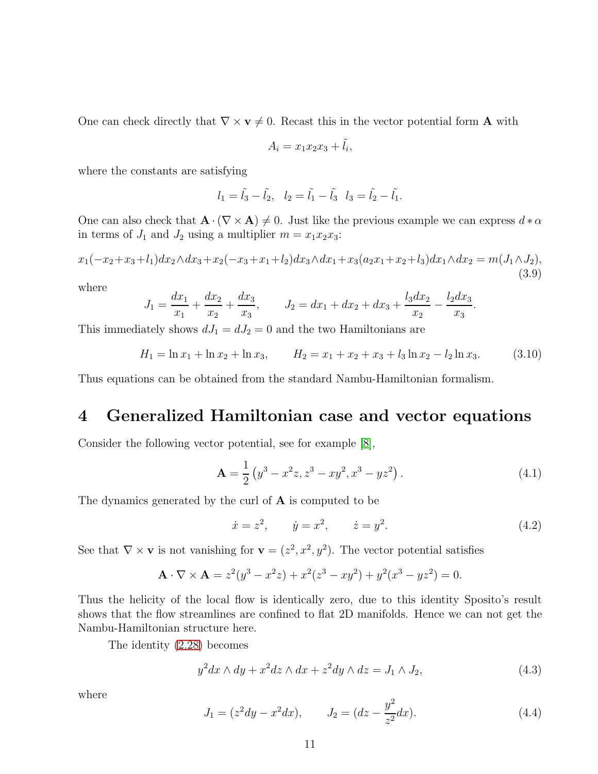One can check directly that  $\nabla \times \mathbf{v} \neq 0$ . Recast this in the vector potential form **A** with

$$
A_i = x_1 x_2 x_3 + \tilde{l}_i,
$$

where the constants are satisfying

$$
l_1 = \tilde{l}_3 - \tilde{l}_2, \quad l_2 = \tilde{l}_1 - \tilde{l}_3 \quad l_3 = \tilde{l}_2 - \tilde{l}_1.
$$

One can also check that  $\mathbf{A} \cdot (\nabla \times \mathbf{A}) \neq 0$ . Just like the previous example we can express  $d * \alpha$ in terms of  $J_1$  and  $J_2$  using a multiplier  $m = x_1x_2x_3$ :

$$
x_1(-x_2+x_3+l_1)dx_2\wedge dx_3+x_2(-x_3+x_1+l_2)dx_3\wedge dx_1+x_3(a_2x_1+x_2+l_3)dx_1\wedge dx_2=m(J_1\wedge J_2),
$$
\n(3.9)

where

$$
J_1 = \frac{dx_1}{x_1} + \frac{dx_2}{x_2} + \frac{dx_3}{x_3}, \qquad J_2 = dx_1 + dx_2 + dx_3 + \frac{l_3 dx_2}{x_2} - \frac{l_2 dx_3}{x_3}.
$$

This immediately shows  $dJ_1 = dJ_2 = 0$  and the two Hamiltonians are

$$
H_1 = \ln x_1 + \ln x_2 + \ln x_3, \qquad H_2 = x_1 + x_2 + x_3 + l_3 \ln x_2 - l_2 \ln x_3. \tag{3.10}
$$

Thus equations can be obtained from the standard Nambu-Hamiltonian formalism.

### 4 Generalized Hamiltonian case and vector equations

Consider the following vector potential, see for example [\[8\]](#page-14-13),

<span id="page-10-1"></span>
$$
\mathbf{A} = \frac{1}{2} \left( y^3 - x^2 z, z^3 - xy^2, x^3 - yz^2 \right). \tag{4.1}
$$

The dynamics generated by the curl of A is computed to be

$$
\dot{x} = z^2, \qquad \dot{y} = x^2, \qquad \dot{z} = y^2.
$$
\n(4.2)

See that  $\nabla \times \mathbf{v}$  is not vanishing for  $\mathbf{v} = (z^2, x^2, y^2)$ . The vector potential satisfies

$$
\mathbf{A} \cdot \nabla \times \mathbf{A} = z^2(y^3 - x^2z) + x^2(z^3 - xy^2) + y^2(x^3 - yz^2) = 0.
$$

Thus the helicity of the local flow is identically zero, due to this identity Sposito's result shows that the flow streamlines are confined to flat 2D manifolds. Hence we can not get the Nambu-Hamiltonian structure here.

The identity [\(2.28\)](#page-8-0) becomes

<span id="page-10-2"></span>
$$
y^2 dx \wedge dy + x^2 dz \wedge dx + z^2 dy \wedge dz = J_1 \wedge J_2,\tag{4.3}
$$

where

<span id="page-10-0"></span>
$$
J_1 = (z^2 dy - x^2 dx), \qquad J_2 = (dz - \frac{y^2}{z^2} dx). \tag{4.4}
$$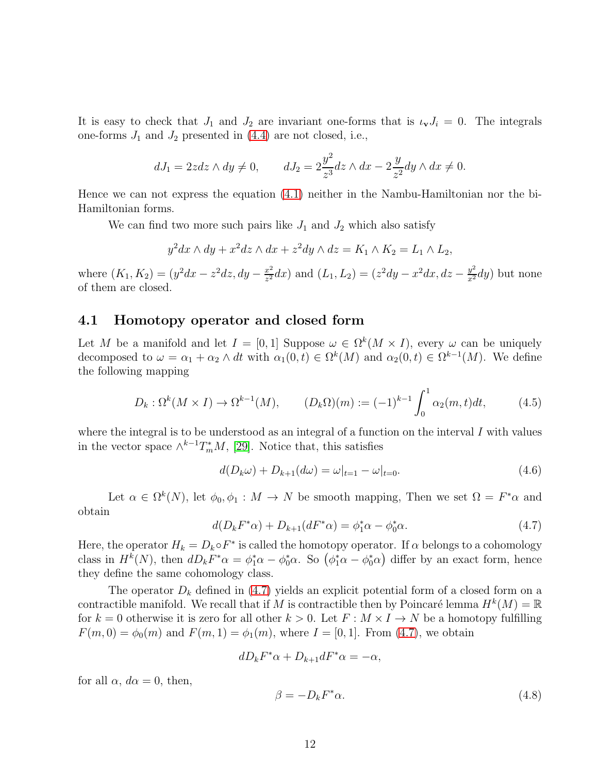It is easy to check that  $J_1$  and  $J_2$  are invariant one-forms that is  $\iota_v J_i = 0$ . The integrals one-forms  $J_1$  and  $J_2$  presented in [\(4.4\)](#page-10-0) are not closed, i.e.,

$$
dJ_1 = 2zdz \wedge dy \neq 0, \qquad dJ_2 = 2\frac{y^2}{z^3}dz \wedge dx - 2\frac{y}{z^2}dy \wedge dx \neq 0.
$$

Hence we can not express the equation [\(4.1\)](#page-10-1) neither in the Nambu-Hamiltonian nor the bi-Hamiltonian forms.

We can find two more such pairs like  $J_1$  and  $J_2$  which also satisfy

$$
y^2 dx \wedge dy + x^2 dz \wedge dx + z^2 dy \wedge dz = K_1 \wedge K_2 = L_1 \wedge L_2,
$$

where  $(K_1, K_2) = (y^2 dx - z^2 dz, dy - \frac{x^2}{z^2})$  $\frac{x^2}{z^2}dx$ ) and  $(L_1, L_2) = (z^2 dy - x^2 dx, dz - \frac{y^2}{x^2}dy)$  but none of them are closed.

#### 4.1 Homotopy operator and closed form

Let M be a manifold and let  $I = [0,1]$  Suppose  $\omega \in \Omega^k(M \times I)$ , every  $\omega$  can be uniquely decomposed to  $\omega = \alpha_1 + \alpha_2 \wedge dt$  with  $\alpha_1(0,t) \in \Omega^k(M)$  and  $\alpha_2(0,t) \in \Omega^{k-1}(M)$ . We define the following mapping

$$
D_k: \Omega^k(M \times I) \to \Omega^{k-1}(M), \qquad (D_k \Omega)(m) := (-1)^{k-1} \int_0^1 \alpha_2(m, t) dt, \qquad (4.5)
$$

where the integral is to be understood as an integral of a function on the interval  $I$  with values in the vector space  $\wedge^{k-1}T^*_mM$ , [\[29\]](#page-15-12). Notice that, this satisfies

$$
d(D_k \omega) + D_{k+1}(d\omega) = \omega|_{t=1} - \omega|_{t=0}.
$$
\n(4.6)

Let  $\alpha \in \Omega^k(N)$ , let  $\phi_0, \phi_1 : M \to N$  be smooth mapping, Then we set  $\Omega = F^*\alpha$  and obtain

<span id="page-11-0"></span>
$$
d(D_k F^* \alpha) + D_{k+1}(dF^* \alpha) = \phi_1^* \alpha - \phi_0^* \alpha.
$$
 (4.7)

Here, the operator  $H_k = D_k \circ F^*$  is called the homotopy operator. If  $\alpha$  belongs to a cohomology class in  $H^k(N)$ , then  $dD_k F^*\alpha = \phi_1^*\alpha - \phi_0^*\alpha$ . So  $(\phi_1^*\alpha - \phi_0^*\alpha)$  differ by an exact form, hence they define the same cohomology class.

The operator  $D_k$  defined in [\(4.7\)](#page-11-0) yields an explicit potential form of a closed form on a contractible manifold. We recall that if M is contractible then by Poincaré lemma  $H^k(M) = \mathbb{R}$ for  $k = 0$  otherwise it is zero for all other  $k > 0$ . Let  $F : M \times I \to N$  be a homotopy fulfilling  $F(m, 0) = \phi_0(m)$  and  $F(m, 1) = \phi_1(m)$ , where  $I = [0, 1]$ . From [\(4.7\)](#page-11-0), we obtain

$$
dD_k F^* \alpha + D_{k+1} dF^* \alpha = -\alpha,
$$

for all  $\alpha$ ,  $d\alpha = 0$ , then,

$$
\beta = -D_k F^* \alpha. \tag{4.8}
$$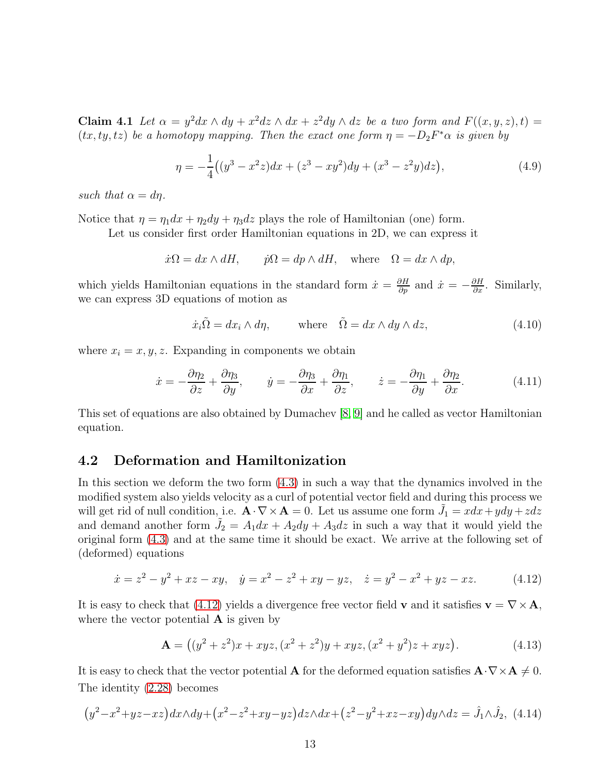**Claim 4.1** Let  $\alpha = y^2 dx \wedge dy + x^2 dz \wedge dx + z^2 dy \wedge dz$  be a two form and  $F((x, y, z), t) =$  $(tx, ty, tz)$  be a homotopy mapping. Then the exact one form  $\eta = -D_2F^*\alpha$  is given by

$$
\eta = -\frac{1}{4}((y^3 - x^2z)dx + (z^3 - xy^2)dy + (x^3 - z^2y)dz),\tag{4.9}
$$

such that  $\alpha = d\eta$ .

Notice that  $\eta = \eta_1 dx + \eta_2 dy + \eta_3 dz$  plays the role of Hamiltonian (one) form.

Let us consider first order Hamiltonian equations in 2D, we can express it

$$
\dot{x}\Omega = dx \wedge dH, \qquad \dot{p}\Omega = dp \wedge dH, \quad \text{where} \quad \Omega = dx \wedge dp,
$$

which yields Hamiltonian equations in the standard form  $\dot{x} = \frac{\partial H}{\partial p}$  and  $\dot{x} = -\frac{\partial H}{\partial x}$ . Similarly, we can express 3D equations of motion as

$$
\dot{x}_i \tilde{\Omega} = dx_i \wedge d\eta, \qquad \text{where} \quad \tilde{\Omega} = dx \wedge dy \wedge dz, \tag{4.10}
$$

where  $x_i = x, y, z$ . Expanding in components we obtain

$$
\dot{x} = -\frac{\partial \eta_2}{\partial z} + \frac{\partial \eta_3}{\partial y}, \qquad \dot{y} = -\frac{\partial \eta_3}{\partial x} + \frac{\partial \eta_1}{\partial z}, \qquad \dot{z} = -\frac{\partial \eta_1}{\partial y} + \frac{\partial \eta_2}{\partial x}.
$$
(4.11)

This set of equations are also obtained by Dumachev [\[8,](#page-14-13) [9\]](#page-14-12) and he called as vector Hamiltonian equation.

#### 4.2 Deformation and Hamiltonization

In this section we deform the two form [\(4.3\)](#page-10-2) in such a way that the dynamics involved in the modified system also yields velocity as a curl of potential vector field and during this process we will get rid of null condition, i.e.  $\mathbf{A} \cdot \nabla \times \mathbf{A} = 0$ . Let us assume one form  $\tilde{J}_1 = x dx + y dy + z dz$ and demand another form  $\tilde{J}_2 = A_1 dx + A_2 dy + A_3 dz$  in such a way that it would yield the original form [\(4.3\)](#page-10-2) and at the same time it should be exact. We arrive at the following set of (deformed) equations

<span id="page-12-0"></span>
$$
\dot{x} = z^2 - y^2 + xz - xy, \quad \dot{y} = x^2 - z^2 + xy - yz, \quad \dot{z} = y^2 - x^2 + yz - xz.
$$
 (4.12)

It is easy to check that [\(4.12\)](#page-12-0) yields a divergence free vector field v and it satisfies  $\mathbf{v} = \nabla \times \mathbf{A}$ , where the vector potential  $\bf{A}$  is given by

$$
\mathbf{A} = ((y^2 + z^2)x + xyz, (x^2 + z^2)y + xyz, (x^2 + y^2)z + xyz).
$$
 (4.13)

It is easy to check that the vector potential **A** for the deformed equation satisfies  $\mathbf{A} \cdot \nabla \times \mathbf{A} \neq 0$ . The identity [\(2.28\)](#page-8-0) becomes

$$
(y^2 - x^2 + yz - xz)dx \wedge dy + (x^2 - z^2 + xy - yz)dz \wedge dx + (z^2 - y^2 + xz - xy)dy \wedge dz = \hat{J}_1 \wedge \hat{J}_2, (4.14)
$$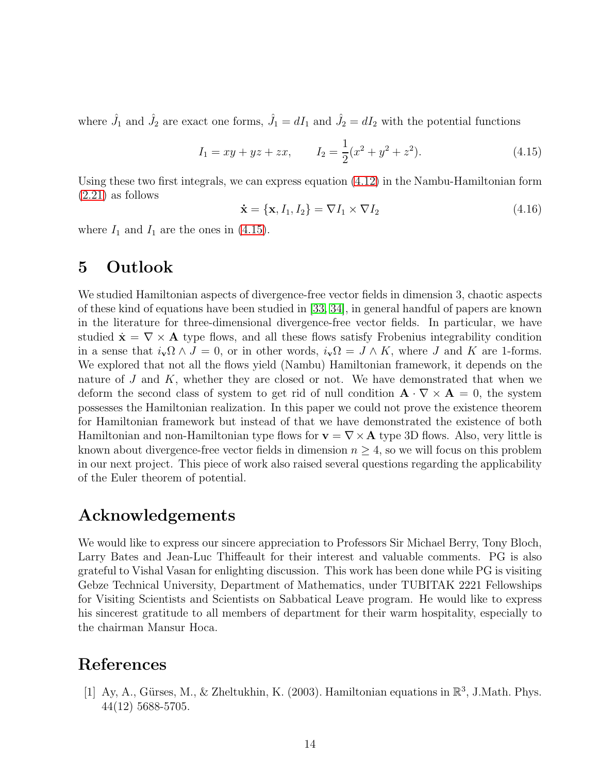where  $\hat{J}_1$  and  $\hat{J}_2$  are exact one forms,  $\hat{J}_1 = dI_1$  and  $\hat{J}_2 = dI_2$  with the potential functions

<span id="page-13-1"></span>
$$
I_1 = xy + yz + zx, \qquad I_2 = \frac{1}{2}(x^2 + y^2 + z^2). \tag{4.15}
$$

Using these two first integrals, we can express equation [\(4.12\)](#page-12-0) in the Nambu-Hamiltonian form [\(2.21\)](#page-7-0) as follows

$$
\dot{\mathbf{x}} = \{\mathbf{x}, I_1, I_2\} = \nabla I_1 \times \nabla I_2 \tag{4.16}
$$

where  $I_1$  and  $I_1$  are the ones in [\(4.15\)](#page-13-1).

### 5 Outlook

We studied Hamiltonian aspects of divergence-free vector fields in dimension 3, chaotic aspects of these kind of equations have been studied in [\[33,](#page-16-1) [34\]](#page-16-2), in general handful of papers are known in the literature for three-dimensional divergence-free vector fields. In particular, we have studied  $\dot{\mathbf{x}} = \nabla \times \mathbf{A}$  type flows, and all these flows satisfy Frobenius integrability condition in a sense that  $i_{\mathbf{v}}\Omega \wedge J = 0$ , or in other words,  $i_{\mathbf{v}}\Omega = J \wedge K$ , where J and K are 1-forms. We explored that not all the flows yield (Nambu) Hamiltonian framework, it depends on the nature of  $J$  and  $K$ , whether they are closed or not. We have demonstrated that when we deform the second class of system to get rid of null condition  $\mathbf{A} \cdot \nabla \times \mathbf{A} = 0$ , the system possesses the Hamiltonian realization. In this paper we could not prove the existence theorem for Hamiltonian framework but instead of that we have demonstrated the existence of both Hamiltonian and non-Hamiltonian type flows for  $\mathbf{v} = \nabla \times \mathbf{A}$  type 3D flows. Also, very little is known about divergence-free vector fields in dimension  $n \geq 4$ , so we will focus on this problem in our next project. This piece of work also raised several questions regarding the applicability of the Euler theorem of potential.

## Acknowledgements

We would like to express our sincere appreciation to Professors Sir Michael Berry, Tony Bloch, Larry Bates and Jean-Luc Thiffeault for their interest and valuable comments. PG is also grateful to Vishal Vasan for enlighting discussion. This work has been done while PG is visiting Gebze Technical University, Department of Mathematics, under TUBITAK 2221 Fellowships for Visiting Scientists and Scientists on Sabbatical Leave program. He would like to express his sincerest gratitude to all members of department for their warm hospitality, especially to the chairman Mansur Hoca.

## <span id="page-13-0"></span>References

[1] Ay, A., Gürses, M., & Zheltukhin, K. (2003). Hamiltonian equations in  $\mathbb{R}^3$ , J.Math. Phys. 44(12) 5688-5705.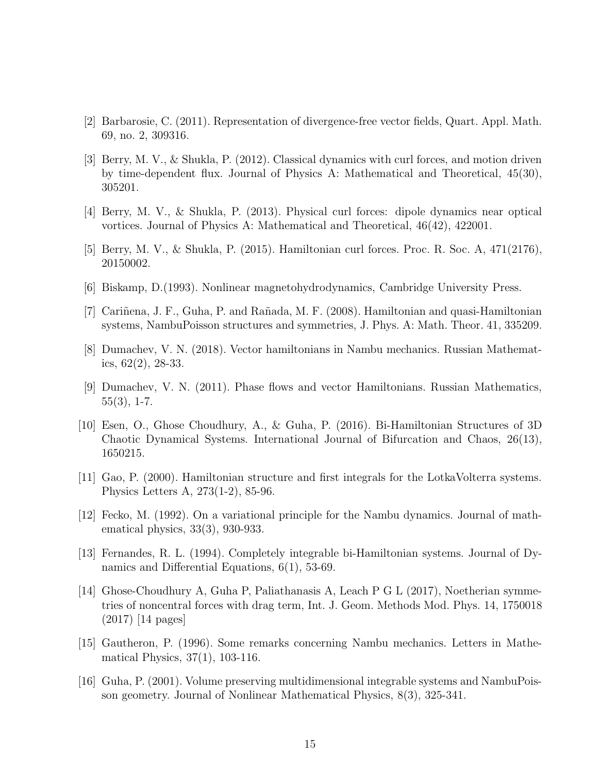- <span id="page-14-2"></span><span id="page-14-0"></span>[2] Barbarosie, C. (2011). Representation of divergence-free vector fields, Quart. Appl. Math. 69, no. 2, 309316.
- [3] Berry, M. V., & Shukla, P. (2012). Classical dynamics with curl forces, and motion driven by time-dependent flux. Journal of Physics A: Mathematical and Theoretical, 45(30), 305201.
- <span id="page-14-4"></span><span id="page-14-3"></span>[4] Berry, M. V., & Shukla, P. (2013). Physical curl forces: dipole dynamics near optical vortices. Journal of Physics A: Mathematical and Theoretical, 46(42), 422001.
- <span id="page-14-5"></span>[5] Berry, M. V., & Shukla, P. (2015). Hamiltonian curl forces. Proc. R. Soc. A, 471(2176), 20150002.
- <span id="page-14-1"></span>[6] Biskamp, D.(1993). Nonlinear magnetohydrodynamics, Cambridge University Press.
- <span id="page-14-13"></span>[7] Cariñena, J. F., Guha, P. and Rañada, M. F. (2008). Hamiltonian and quasi-Hamiltonian systems, NambuPoisson structures and symmetries, J. Phys. A: Math. Theor. 41, 335209.
- <span id="page-14-12"></span>[8] Dumachev, V. N. (2018). Vector hamiltonians in Nambu mechanics. Russian Mathematics, 62(2), 28-33.
- [9] Dumachev, V. N. (2011). Phase flows and vector Hamiltonians. Russian Mathematics,  $55(3)$ , 1-7.
- <span id="page-14-6"></span>[10] Esen, O., Ghose Choudhury, A., & Guha, P. (2016). Bi-Hamiltonian Structures of 3D Chaotic Dynamical Systems. International Journal of Bifurcation and Chaos, 26(13), 1650215.
- <span id="page-14-8"></span>[11] Gao, P. (2000). Hamiltonian structure and first integrals for the LotkaVolterra systems. Physics Letters A, 273(1-2), 85-96.
- <span id="page-14-11"></span>[12] Fecko, M. (1992). On a variational principle for the Nambu dynamics. Journal of mathematical physics, 33(3), 930-933.
- <span id="page-14-7"></span>[13] Fernandes, R. L. (1994). Completely integrable bi-Hamiltonian systems. Journal of Dynamics and Differential Equations, 6(1), 53-69.
- [14] Ghose-Choudhury A, Guha P, Paliathanasis A, Leach P G L (2017), Noetherian symmetries of noncentral forces with drag term, Int. J. Geom. Methods Mod. Phys. 14, 1750018 (2017) [14 pages]
- <span id="page-14-9"></span>[15] Gautheron, P. (1996). Some remarks concerning Nambu mechanics. Letters in Mathematical Physics, 37(1), 103-116.
- <span id="page-14-10"></span>[16] Guha, P. (2001). Volume preserving multidimensional integrable systems and NambuPoisson geometry. Journal of Nonlinear Mathematical Physics, 8(3), 325-341.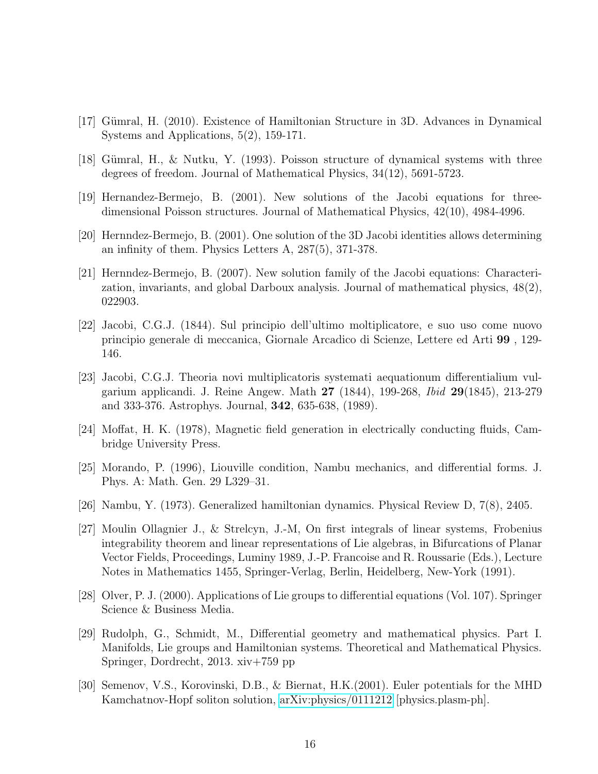- <span id="page-15-3"></span><span id="page-15-2"></span>[17] Gümral, H. (2010). Existence of Hamiltonian Structure in 3D. Advances in Dynamical Systems and Applications, 5(2), 159-171.
- <span id="page-15-4"></span>[18] Gümral, H., & Nutku, Y. (1993). Poisson structure of dynamical systems with three degrees of freedom. Journal of Mathematical Physics, 34(12), 5691-5723.
- <span id="page-15-5"></span>[19] Hernandez-Bermejo, B. (2001). New solutions of the Jacobi equations for threedimensional Poisson structures. Journal of Mathematical Physics, 42(10), 4984-4996.
- <span id="page-15-6"></span>[20] Hernndez-Bermejo, B. (2001). One solution of the 3D Jacobi identities allows determining an infinity of them. Physics Letters A, 287(5), 371-378.
- [21] Hernndez-Bermejo, B. (2007). New solution family of the Jacobi equations: Characterization, invariants, and global Darboux analysis. Journal of mathematical physics, 48(2), 022903.
- <span id="page-15-7"></span>[22] Jacobi, C.G.J. (1844). Sul principio dell'ultimo moltiplicatore, e suo uso come nuovo principio generale di meccanica, Giornale Arcadico di Scienze, Lettere ed Arti 99 , 129- 146.
- <span id="page-15-8"></span>[23] Jacobi, C.G.J. Theoria novi multiplicatoris systemati aequationum differentialium vulgarium applicandi. J. Reine Angew. Math 27 (1844), 199-268, Ibid 29(1845), 213-279 and 333-376. Astrophys. Journal, 342, 635-638, (1989).
- <span id="page-15-0"></span>[24] Moffat, H. K. (1978), Magnetic field generation in electrically conducting fluids, Cambridge University Press.
- <span id="page-15-10"></span>[25] Morando, P. (1996), Liouville condition, Nambu mechanics, and differential forms. J. Phys. A: Math. Gen. 29 L329–31.
- <span id="page-15-11"></span>[26] Nambu, Y. (1973). Generalized hamiltonian dynamics. Physical Review D, 7(8), 2405.
- [27] Moulin Ollagnier J., & Strelcyn, J.-M, On first integrals of linear systems, Frobenius integrability theorem and linear representations of Lie algebras, in Bifurcations of Planar Vector Fields, Proceedings, Luminy 1989, J.-P. Francoise and R. Roussarie (Eds.), Lecture Notes in Mathematics 1455, Springer-Verlag, Berlin, Heidelberg, New-York (1991).
- <span id="page-15-12"></span><span id="page-15-9"></span>[28] Olver, P. J. (2000). Applications of Lie groups to differential equations (Vol. 107). Springer Science & Business Media.
- [29] Rudolph, G., Schmidt, M., Differential geometry and mathematical physics. Part I. Manifolds, Lie groups and Hamiltonian systems. Theoretical and Mathematical Physics. Springer, Dordrecht, 2013. xiv+759 pp
- <span id="page-15-1"></span>[30] Semenov, V.S., Korovinski, D.B., & Biernat, H.K.(2001). Euler potentials for the MHD Kamchatnov-Hopf soliton solution, [arXiv:physics/0111212](http://arxiv.org/abs/physics/0111212) [physics.plasm-ph].